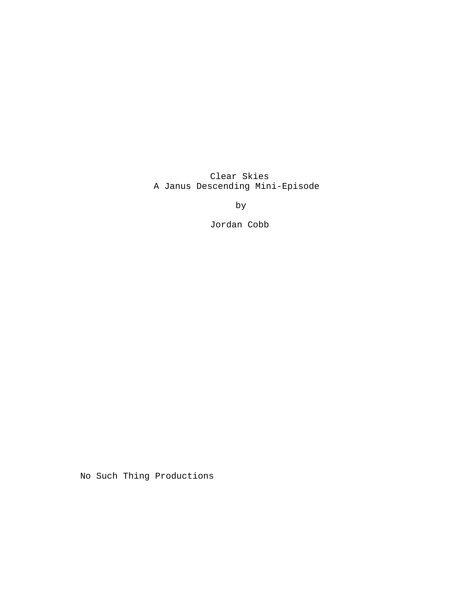Clear Skies A Janus Descending Mini-Episode

by

Jordan Cobb

No Such Thing Productions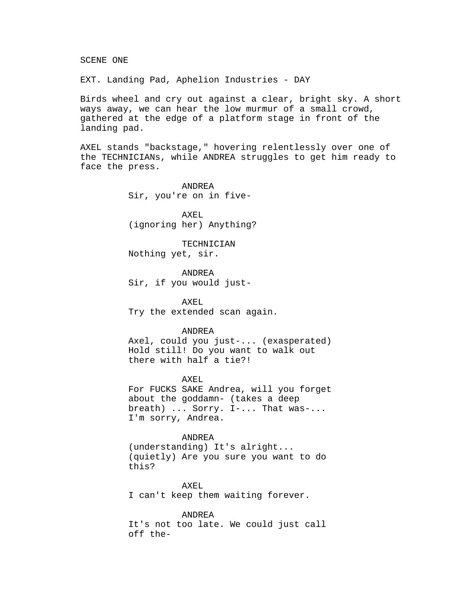SCENE ONE

EXT. Landing Pad, Aphelion Industries - DAY

Birds wheel and cry out against a clear, bright sky. A short ways away, we can hear the low murmur of a small crowd, gathered at the edge of a platform stage in front of the landing pad.

AXEL stands "backstage," hovering relentlessly over one of the TECHNICIANs, while ANDREA struggles to get him ready to face the press.

> ANDREA Sir, you're on in five-

AXEL (ignoring her) Anything?

TECHNICIAN Nothing yet, sir.

ANDREA Sir, if you would just-

AXEL Try the extended scan again.

## ANDREA

Axel, could you just-... (exasperated) Hold still! Do you want to walk out there with half a tie?!

# AXEL

For FUCKS SAKE Andrea, will you forget about the goddamn- (takes a deep breath) ... Sorry. I-... That was-... I'm sorry, Andrea.

# ANDREA

(understanding) It's alright... (quietly) Are you sure you want to do this?

AXEL I can't keep them waiting forever.

ANDREA

It's not too late. We could just call off the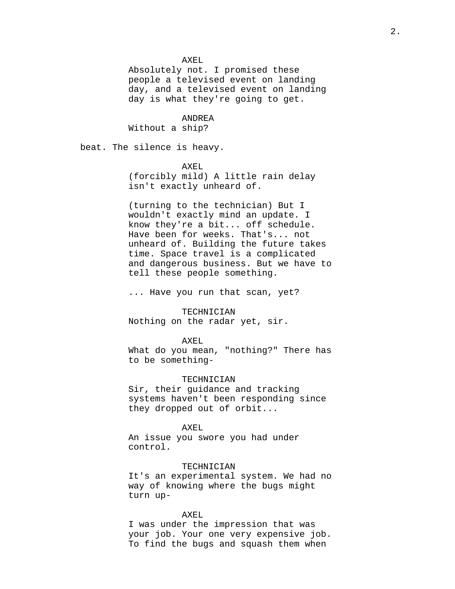AXEL

Absolutely not. I promised these people a televised event on landing day, and a televised event on landing day is what they're going to get.

# ANDREA

Without a ship?

beat. The silence is heavy.

## AXEL

(forcibly mild) A little rain delay isn't exactly unheard of.

(turning to the technician) But I wouldn't exactly mind an update. I know they're a bit... off schedule. Have been for weeks. That's... not unheard of. Building the future takes time. Space travel is a complicated and dangerous business. But we have to tell these people something.

... Have you run that scan, yet?

#### TECHNICIAN

Nothing on the radar yet, sir.

#### AXEL

What do you mean, "nothing?" There has to be something-

## TECHNICIAN

Sir, their guidance and tracking systems haven't been responding since they dropped out of orbit...

### AXEL

An issue you swore you had under control.

## TECHNICIAN

It's an experimental system. We had no way of knowing where the bugs might turn up-

## AXEL

I was under the impression that was your job. Your one very expensive job. To find the bugs and squash them when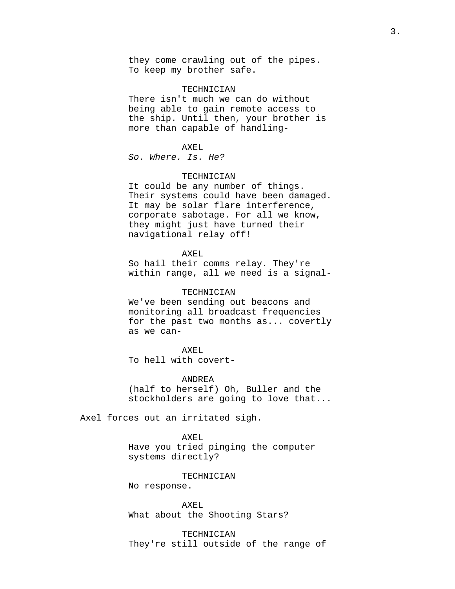they come crawling out of the pipes. To keep my brother safe.

#### TECHNICIAN

There isn't much we can do without being able to gain remote access to the ship. Until then, your brother is more than capable of handling-

#### AXEL

So. Where. Is. He?

# TECHNICIAN

It could be any number of things. Their systems could have been damaged. It may be solar flare interference, corporate sabotage. For all we know, they might just have turned their navigational relay off!

# AXEL

So hail their comms relay. They're within range, all we need is a signal-

#### TECHNICIAN

We've been sending out beacons and monitoring all broadcast frequencies for the past two months as... covertly as we can-

# AXEL

To hell with covert-

## ANDREA

(half to herself) Oh, Buller and the stockholders are going to love that...

Axel forces out an irritated sigh.

#### AXEL

Have you tried pinging the computer systems directly?

#### TECHNICIAN

No response.

AXEL What about the Shooting Stars?

TECHNICIAN They're still outside of the range of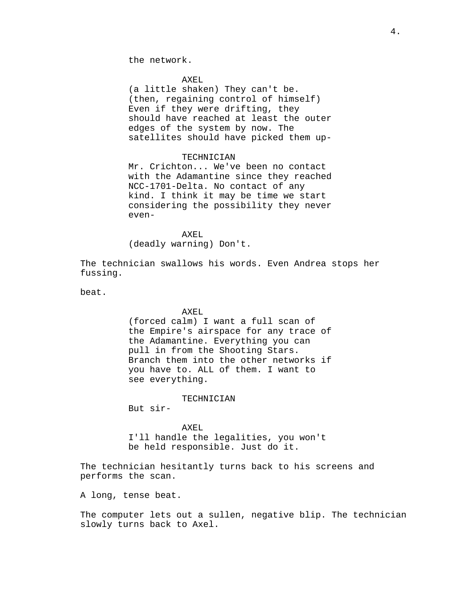the network.

#### AXEL

(a little shaken) They can't be. (then, regaining control of himself) Even if they were drifting, they should have reached at least the outer edges of the system by now. The satellites should have picked them up-

# TECHNICIAN

Mr. Crichton... We've been no contact with the Adamantine since they reached NCC-1701-Delta. No contact of any kind. I think it may be time we start considering the possibility they never even-

AXEL (deadly warning) Don't.

The technician swallows his words. Even Andrea stops her fussing.

beat.

# AXEL

(forced calm) I want a full scan of the Empire's airspace for any trace of the Adamantine. Everything you can pull in from the Shooting Stars. Branch them into the other networks if you have to. ALL of them. I want to see everything.

TECHNICIAN

But sir-

#### AXEL

I'll handle the legalities, you won't be held responsible. Just do it.

The technician hesitantly turns back to his screens and performs the scan.

A long, tense beat.

The computer lets out a sullen, negative blip. The technician slowly turns back to Axel.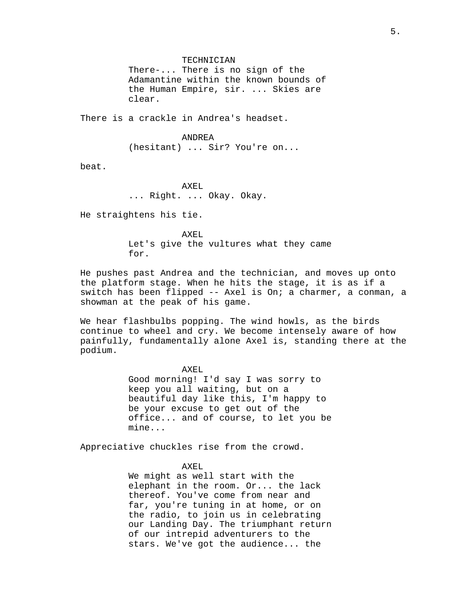# TECHNICIAN

There-... There is no sign of the Adamantine within the known bounds of the Human Empire, sir. ... Skies are clear.

There is a crackle in Andrea's headset.

ANDREA (hesitant) ... Sir? You're on...

beat.

AXEL ... Right. ... Okay. Okay.

He straightens his tie.

AXEL. Let's give the vultures what they came for.

He pushes past Andrea and the technician, and moves up onto the platform stage. When he hits the stage, it is as if a switch has been flipped -- Axel is On; a charmer, a conman, a showman at the peak of his game.

We hear flashbulbs popping. The wind howls, as the birds continue to wheel and cry. We become intensely aware of how painfully, fundamentally alone Axel is, standing there at the podium.

> AXEL Good morning! I'd say I was sorry to keep you all waiting, but on a beautiful day like this, I'm happy to be your excuse to get out of the office... and of course, to let you be mine...

Appreciative chuckles rise from the crowd.

#### AXEL

We might as well start with the elephant in the room. Or... the lack thereof. You've come from near and far, you're tuning in at home, or on the radio, to join us in celebrating our Landing Day. The triumphant return of our intrepid adventurers to the stars. We've got the audience... the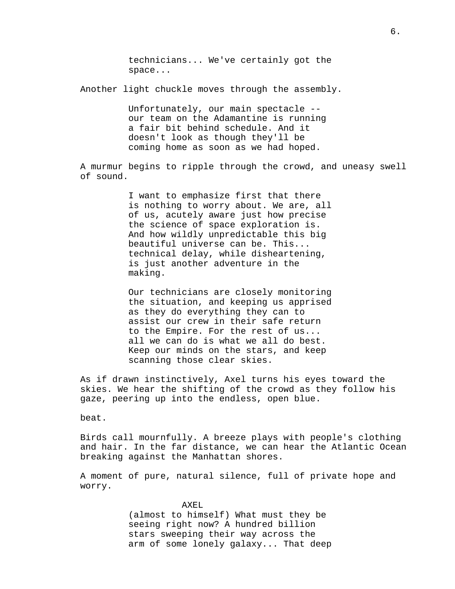technicians... We've certainly got the space...

Another light chuckle moves through the assembly.

Unfortunately, our main spectacle - our team on the Adamantine is running a fair bit behind schedule. And it doesn't look as though they'll be coming home as soon as we had hoped.

A murmur begins to ripple through the crowd, and uneasy swell of sound.

> I want to emphasize first that there is nothing to worry about. We are, all of us, acutely aware just how precise the science of space exploration is. And how wildly unpredictable this big beautiful universe can be. This... technical delay, while disheartening, is just another adventure in the making.

> Our technicians are closely monitoring the situation, and keeping us apprised as they do everything they can to assist our crew in their safe return to the Empire. For the rest of us... all we can do is what we all do best. Keep our minds on the stars, and keep scanning those clear skies.

As if drawn instinctively, Axel turns his eyes toward the skies. We hear the shifting of the crowd as they follow his gaze, peering up into the endless, open blue.

beat.

Birds call mournfully. A breeze plays with people's clothing and hair. In the far distance, we can hear the Atlantic Ocean breaking against the Manhattan shores.

A moment of pure, natural silence, full of private hope and worry.

> AXEL (almost to himself) What must they be seeing right now? A hundred billion stars sweeping their way across the arm of some lonely galaxy... That deep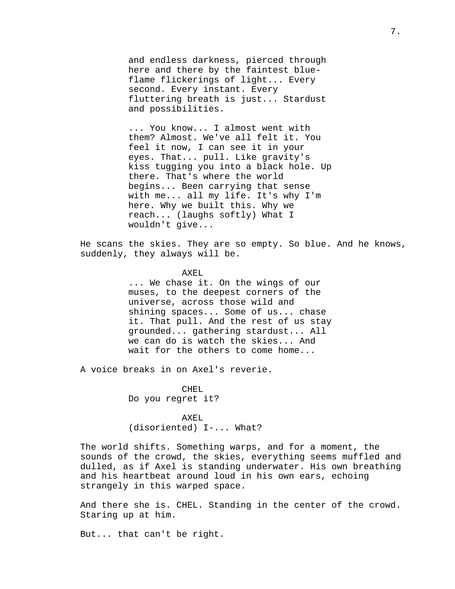and endless darkness, pierced through here and there by the faintest blueflame flickerings of light... Every second. Every instant. Every fluttering breath is just... Stardust and possibilities.

... You know... I almost went with them? Almost. We've all felt it. You feel it now, I can see it in your eyes. That... pull. Like gravity's kiss tugging you into a black hole. Up there. That's where the world begins... Been carrying that sense with me... all my life. It's why I'm here. Why we built this. Why we reach... (laughs softly) What I wouldn't give...

He scans the skies. They are so empty. So blue. And he knows, suddenly, they always will be.

> AXEL ... We chase it. On the wings of our muses, to the deepest corners of the universe, across those wild and shining spaces... Some of us... chase it. That pull. And the rest of us stay grounded... gathering stardust... All we can do is watch the skies... And wait for the others to come home...

A voice breaks in on Axel's reverie.

CHEL Do you regret it?

AXEL (disoriented) I-... What?

The world shifts. Something warps, and for a moment, the sounds of the crowd, the skies, everything seems muffled and dulled, as if Axel is standing underwater. His own breathing and his heartbeat around loud in his own ears, echoing strangely in this warped space.

And there she is. CHEL. Standing in the center of the crowd. Staring up at him.

But... that can't be right.